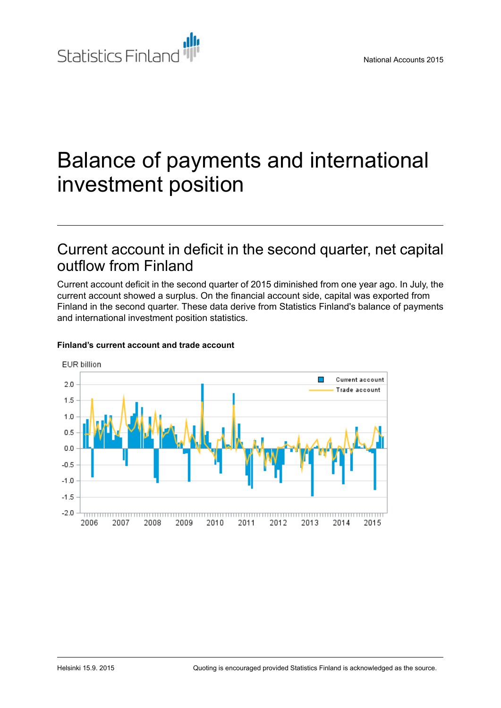

# Balance of payments and international investment position

# Current account in deficit in the second quarter, net capital outflow from Finland

Current account deficit in the second quarter of 2015 diminished from one year ago. In July, the current account showed a surplus. On the financial account side, capital was exported from Finland in the second quarter. These data derive from Statistics Finland's balance of payments and international investment position statistics.



#### **Finland's current account and trade account**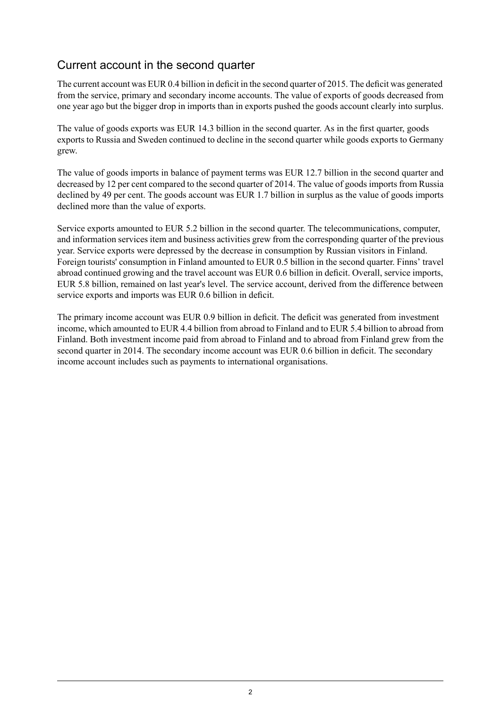# Current account in the second quarter

The current account was EUR 0.4 billion in deficit in the second quarter of 2015. The deficit was generated from the service, primary and secondary income accounts. The value of exports of goods decreased from one year ago but the bigger drop in imports than in exports pushed the goods account clearly into surplus.

The value of goods exports was EUR 14.3 billion in the second quarter. As in the first quarter, goods exports to Russia and Sweden continued to decline in the second quarter while goods exports to Germany grew.

The value of goods imports in balance of payment terms was EUR 12.7 billion in the second quarter and decreased by 12 per cent compared to the second quarter of 2014. The value of goods imports from Russia declined by 49 per cent. The goods account was EUR 1.7 billion in surplus as the value of goods imports declined more than the value of exports.

Service exports amounted to EUR 5.2 billion in the second quarter. The telecommunications, computer, and information services item and business activities grew from the corresponding quarter of the previous year. Service exports were depressed by the decrease in consumption by Russian visitors in Finland. Foreign tourists' consumption in Finland amounted to EUR 0.5 billion in the second quarter. Finns' travel abroad continued growing and the travel account was EUR 0.6 billion in deficit. Overall, service imports, EUR 5.8 billion, remained on last year's level. The service account, derived from the difference between service exports and imports was EUR 0.6 billion in deficit.

The primary income account was EUR 0.9 billion in deficit. The deficit was generated from investment income, which amounted to EUR 4.4 billion from abroad to Finland and to EUR 5.4 billion to abroad from Finland. Both investment income paid from abroad to Finland and to abroad from Finland grew from the second quarter in 2014. The secondary income account was EUR 0.6 billion in deficit. The secondary income account includes such as payments to international organisations.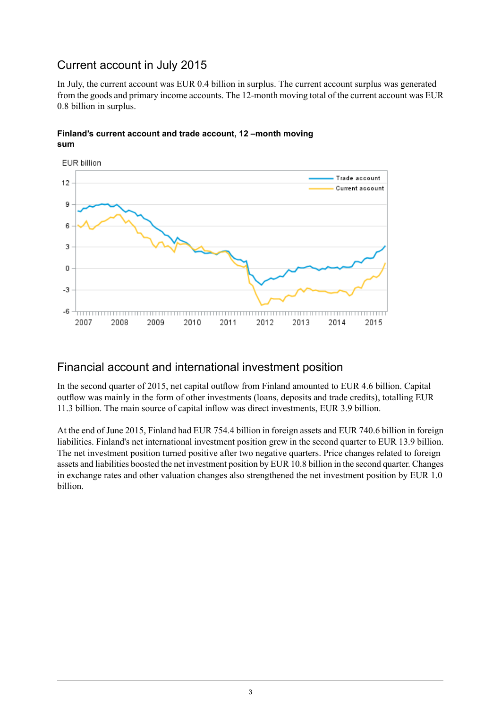# Current account in July 2015

In July, the current account was EUR 0.4 billion in surplus. The current account surplus was generated from the goods and primary income accounts. The 12-month moving total of the current account was EUR 0.8 billion in surplus.



#### **Finland's current account and trade account, 12 –month moving sum**

## Financial account and international investment position

In the second quarter of 2015, net capital outflow from Finland amounted to EUR 4.6 billion. Capital outflow was mainly in the form of other investments (loans, deposits and trade credits), totalling EUR 11.3 billion. The main source of capital inflow was direct investments, EUR 3.9 billion.

At the end of June 2015, Finland had EUR 754.4 billion in foreign assets and EUR 740.6 billion in foreign liabilities. Finland's net international investment position grew in the second quarter to EUR 13.9 billion. The net investment position turned positive after two negative quarters. Price changes related to foreign assets and liabilities boosted the net investment position by EUR 10.8 billion in the second quarter. Changes in exchange rates and other valuation changes also strengthened the net investment position by EUR 1.0 billion.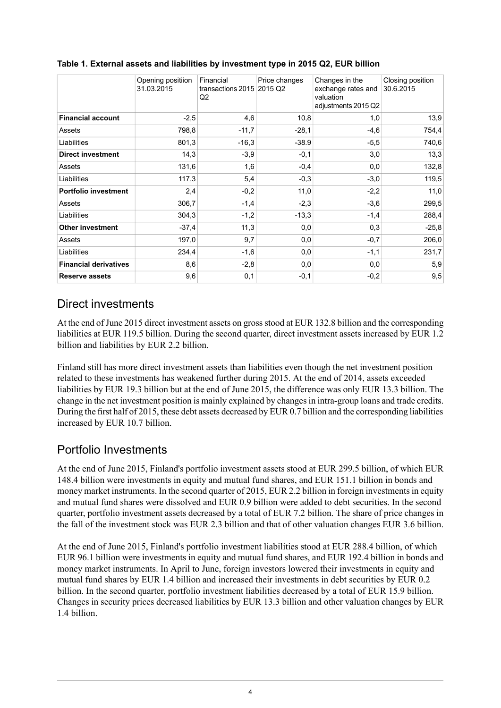|                              | Opening positiion<br>31.03.2015 | Financial<br>transactions $2015$ 2015 Q2<br>Q <sub>2</sub> | Price changes | Changes in the<br>exchange rates and<br>valuation<br>adjustments 2015 Q2 | Closing position<br>30.6.2015 |
|------------------------------|---------------------------------|------------------------------------------------------------|---------------|--------------------------------------------------------------------------|-------------------------------|
| <b>Financial account</b>     | $-2,5$                          | 4,6                                                        | 10,8          | 1,0                                                                      | 13,9                          |
| Assets                       | 798,8                           | $-11,7$                                                    | $-28,1$       | $-4,6$                                                                   | 754,4                         |
| Liabilities                  | 801,3                           | $-16,3$                                                    | $-38.9$       | $-5,5$                                                                   | 740,6                         |
| <b>Direct investment</b>     | 14,3                            | $-3,9$                                                     | $-0,1$        | 3,0                                                                      | 13,3                          |
| Assets                       | 131,6                           | 1,6                                                        | $-0,4$        | 0,0                                                                      | 132,8                         |
| Liabilities                  | 117,3                           | 5,4                                                        | $-0,3$        | $-3,0$                                                                   | 119,5                         |
| <b>Portfolio investment</b>  | 2,4                             | $-0,2$                                                     | 11,0          | $-2,2$                                                                   | 11,0                          |
| Assets                       | 306,7                           | $-1,4$                                                     | $-2,3$        | $-3,6$                                                                   | 299,5                         |
| Liabilities                  | 304,3                           | $-1,2$                                                     | $-13.3$       | $-1,4$                                                                   | 288,4                         |
| <b>Other investment</b>      | $-37,4$                         | 11,3                                                       | 0,0           | 0,3                                                                      | $-25,8$                       |
| Assets                       | 197,0                           | 9,7                                                        | 0,0           | $-0,7$                                                                   | 206,0                         |
| Liabilities                  | 234,4                           | $-1,6$                                                     | 0,0           | $-1,1$                                                                   | 231,7                         |
| <b>Financial derivatives</b> | 8,6                             | $-2,8$                                                     | 0,0           | 0,0                                                                      | 5,9                           |
| <b>Reserve assets</b>        | 9,6                             | 0,1                                                        | $-0,1$        | $-0,2$                                                                   | 9,5                           |

#### **Table 1. External assets and liabilities by investment type in 2015 Q2, EUR billion**

### Direct investments

At the end of June 2015 direct investment assets on gross stood at EUR 132.8 billion and the corresponding liabilities at EUR 119.5 billion. During the second quarter, direct investment assets increased by EUR 1.2 billion and liabilities by EUR 2.2 billion.

Finland still has more direct investment assets than liabilities even though the net investment position related to these investments has weakened further during 2015. At the end of 2014, assets exceeded liabilities by EUR 19.3 billion but at the end of June 2015, the difference was only EUR 13.3 billion. The change in the net investment position is mainly explained by changesin intra-group loans and trade credits. During the first half of 2015, these debt assets decreased by EUR 0.7 billion and the corresponding liabilities increased by EUR 10.7 billion.

# Portfolio Investments

At the end of June 2015, Finland's portfolio investment assets stood at EUR 299.5 billion, of which EUR 148.4 billion were investments in equity and mutual fund shares, and EUR 151.1 billion in bonds and money market instruments. In the second quarter of 2015, EUR 2.2 billion in foreign investments in equity and mutual fund shares were dissolved and EUR 0.9 billion were added to debt securities. In the second quarter, portfolio investment assets decreased by a total of EUR 7.2 billion. The share of price changes in the fall of the investment stock was EUR 2.3 billion and that of other valuation changes EUR 3.6 billion.

At the end of June 2015, Finland's portfolio investment liabilities stood at EUR 288.4 billion, of which EUR 96.1 billion were investments in equity and mutual fund shares, and EUR 192.4 billion in bonds and money market instruments. In April to June, foreign investors lowered their investments in equity and mutual fund shares by EUR 1.4 billion and increased their investments in debt securities by EUR 0.2 billion. In the second quarter, portfolio investment liabilities decreased by a total of EUR 15.9 billion. Changes in security prices decreased liabilities by EUR 13.3 billion and other valuation changes by EUR 1.4 billion.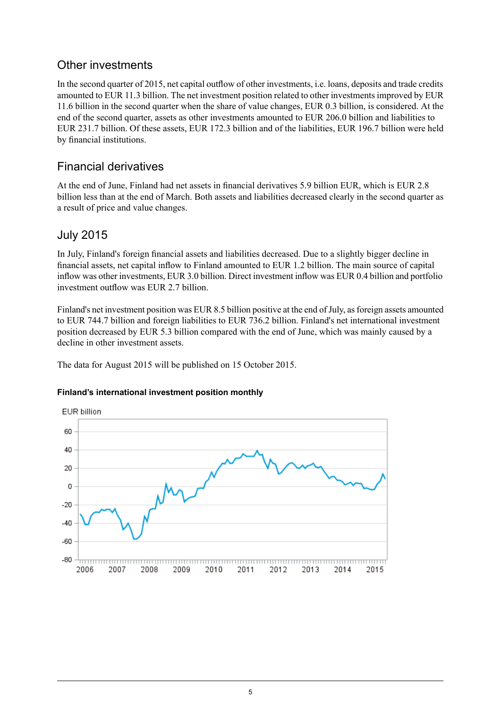# Other investments

In the second quarter of 2015, net capital outflow of other investments, i.e. loans, deposits and trade credits amounted to EUR 11.3 billion. The net investment position related to other investments improved by EUR 11.6 billion in the second quarter when the share of value changes, EUR 0.3 billion, is considered. At the end of the second quarter, assets as other investments amounted to EUR 206.0 billion and liabilities to EUR 231.7 billion. Of these assets, EUR 172.3 billion and of the liabilities, EUR 196.7 billion were held by financial institutions.

# Financial derivatives

At the end of June, Finland had net assets in financial derivatives 5.9 billion EUR, which is EUR 2.8 billion less than at the end of March. Both assets and liabilities decreased clearly in the second quarter as a result of price and value changes.

## July 2015

In July, Finland's foreign financial assets and liabilities decreased. Due to a slightly bigger decline in financial assets, net capital inflow to Finland amounted to EUR 1.2 billion. The main source of capital inflow was other investments, EUR 3.0 billion. Direct investment inflow was EUR 0.4 billion and portfolio investment outflow was EUR 2.7 billion.

Finland's net investment position was EUR 8.5 billion positive at the end of July, as foreign assets amounted to EUR 744.7 billion and foreign liabilities to EUR 736.2 billion. Finland's net international investment position decreased by EUR 5.3 billion compared with the end of June, which was mainly caused by a decline in other investment assets.

The data for August 2015 will be published on 15 October 2015.

#### **Finland's international investment position monthly**

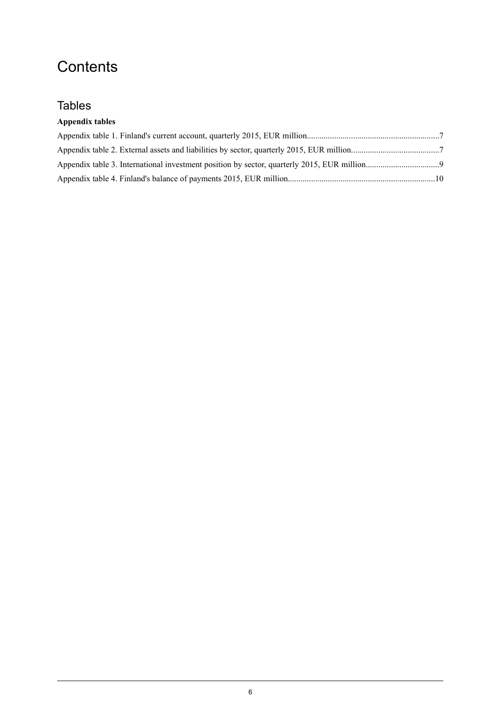# **Contents**

# **Tables**

#### **Appendix tables**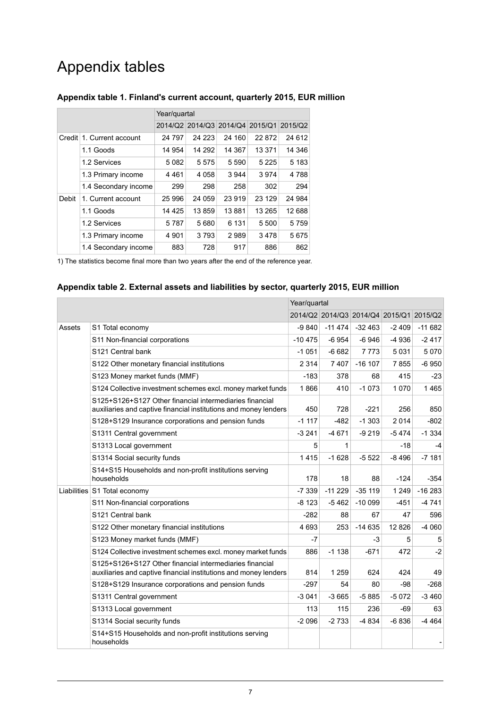# Appendix tables

|              |                      | Year/quartal |                                         |         |         |         |  |
|--------------|----------------------|--------------|-----------------------------------------|---------|---------|---------|--|
|              |                      |              | 2014/Q2 2014/Q3 2014/Q4 2015/Q1 2015/Q2 |         |         |         |  |
| Credit       | 1. Current account   | 24 797       | 24 2 23                                 | 24 160  | 22 872  | 24 612  |  |
|              | 1.1 Goods            | 14 954       | 14 292                                  | 14 3 67 | 13 371  | 14 346  |  |
|              | 1.2 Services         | 5082         | 5575                                    | 5 5 9 0 | 5 2 2 5 | 5 1 8 3 |  |
|              | 1.3 Primary income   | 4461         | 4 0 5 8                                 | 3 9 4 4 | 3974    | 4788    |  |
|              | 1.4 Secondary income | 299          | 298                                     | 258     | 302     | 294     |  |
| <b>Debit</b> | 1. Current account   | 25 996       | 24 059                                  | 23 919  | 23 129  | 24 984  |  |
|              | 1.1 Goods            | 14 4 25      | 13859                                   | 13881   | 13 265  | 12 688  |  |
|              | 1.2 Services         | 5787         | 5680                                    | 6 1 3 1 | 5 500   | 5759    |  |
|              | 1.3 Primary income   | 4 9 0 1      | 3793                                    | 2989    | 3478    | 5675    |  |
|              | 1.4 Secondary income | 883          | 728                                     | 917     | 886     | 862     |  |

#### <span id="page-6-0"></span>**Appendix table 1. Finland's current account, quarterly 2015, EUR million**

<span id="page-6-1"></span>1) The statistics become final more than two years after the end of the reference year.

#### **Appendix table 2. External assets and liabilities by sector, quarterly 2015, EUR million**

|        |                                                                                                                             | Year/quartal |          |                                         |         |          |
|--------|-----------------------------------------------------------------------------------------------------------------------------|--------------|----------|-----------------------------------------|---------|----------|
|        |                                                                                                                             |              |          | 2014/Q2 2014/Q3 2014/Q4 2015/Q1 2015/Q2 |         |          |
| Assets | S1 Total economy                                                                                                            | -9 840       | $-11474$ | $-32463$                                | $-2409$ | $-11682$ |
|        | S11 Non-financial corporations                                                                                              | $-10475$     | $-6954$  | $-6946$                                 | $-4936$ | $-2417$  |
|        | S <sub>121</sub> Central bank                                                                                               | $-1051$      | $-6682$  | 7 7 7 3                                 | 5031    | 5070     |
|        | S122 Other monetary financial institutions                                                                                  | 2 3 1 4      | 7407     | $-16$ 107                               | 7855    | $-6950$  |
|        | S123 Money market funds (MMF)                                                                                               | $-183$       | 378      | 68                                      | 415     | $-23$    |
|        | S124 Collective investment schemes excl. money market funds                                                                 | 1866         | 410      | $-1073$                                 | 1070    | 1465     |
|        | S125+S126+S127 Other financial intermediaries financial<br>auxiliaries and captive financial institutions and money lenders | 450          | 728      | $-221$                                  | 256     | 850      |
|        | S128+S129 Insurance corporations and pension funds                                                                          | $-1117$      | $-482$   | $-1303$                                 | 2014    | $-802$   |
|        | S1311 Central government                                                                                                    | $-3241$      | $-4671$  | $-9219$                                 | $-5474$ | $-1334$  |
|        | S1313 Local government                                                                                                      | 5            | 1        |                                         | -18     | $-4$     |
|        | S1314 Social security funds                                                                                                 | 1415         | $-1628$  | $-5522$                                 | $-8496$ | $-7181$  |
|        | S14+S15 Households and non-profit institutions serving<br>households                                                        | 178          | 18       | 88                                      | $-124$  | $-354$   |
|        | Liabilities S1 Total economy                                                                                                | $-7339$      | $-11229$ | $-35119$                                | 1 2 4 9 | $-16283$ |
|        | S11 Non-financial corporations                                                                                              | $-8123$      | $-5462$  | $-10099$                                | $-451$  | $-4741$  |
|        | S121 Central bank                                                                                                           | $-282$       | 88       | 67                                      | 47      | 596      |
|        | S122 Other monetary financial institutions                                                                                  | 4 6 9 3      | 253      | $-14635$                                | 12826   | $-4060$  |
|        | S123 Money market funds (MMF)                                                                                               | $-7$         |          | $-3$                                    | 5       | 5        |
|        | S124 Collective investment schemes excl. money market funds                                                                 | 886          | $-1138$  | $-671$                                  | 472     | $-2$     |
|        | S125+S126+S127 Other financial intermediaries financial<br>auxiliaries and captive financial institutions and money lenders | 814          | 1 2 5 9  | 624                                     | 424     | 49       |
|        | S128+S129 Insurance corporations and pension funds                                                                          | $-297$       | 54       | 80                                      | $-98$   | $-268$   |
|        | S1311 Central government                                                                                                    | $-3041$      | $-3665$  | $-5885$                                 | $-5072$ | $-3460$  |
|        | S1313 Local government                                                                                                      | 113          | 115      | 236                                     | $-69$   | 63       |
|        | S1314 Social security funds                                                                                                 | $-2096$      | $-2733$  | $-4834$                                 | $-6836$ | $-4464$  |
|        | S14+S15 Households and non-profit institutions serving<br>households                                                        |              |          |                                         |         |          |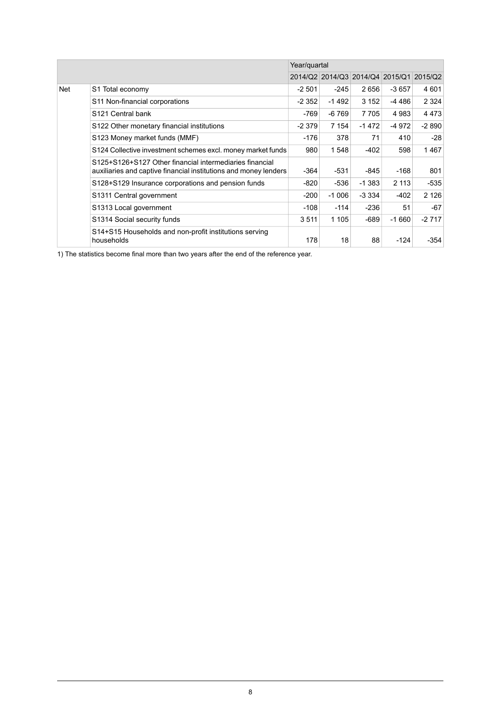|     |                                                                                                                             | Year/quartal |         |          |         |                                         |
|-----|-----------------------------------------------------------------------------------------------------------------------------|--------------|---------|----------|---------|-----------------------------------------|
|     |                                                                                                                             |              |         |          |         | 2014/Q2 2014/Q3 2014/Q4 2015/Q1 2015/Q2 |
| Net | S1 Total economy                                                                                                            | $-2501$      | $-245$  | 2656     | $-3657$ | 4601                                    |
|     | S11 Non-financial corporations                                                                                              | $-2352$      | $-1492$ | 3 1 5 2  | -4 486  | 2 3 2 4                                 |
|     | S <sub>121</sub> Central bank                                                                                               | -769         | -6 769  | 7705     | 4 9 8 3 | 4473                                    |
|     | S122 Other monetary financial institutions                                                                                  | $-2379$      | 7 1 5 4 | $-1472$  | -4 972  | $-2890$                                 |
|     | S123 Money market funds (MMF)                                                                                               | $-176$       | 378     | 71       | 410     | $-28$                                   |
|     | S124 Collective investment schemes excl. money market funds                                                                 | 980          | 1548    | $-402$   | 598     | 1467                                    |
|     | S125+S126+S127 Other financial intermediaries financial<br>auxiliaries and captive financial institutions and money lenders | $-364$       | $-531$  | -845     | $-168$  | 801                                     |
|     | S128+S129 Insurance corporations and pension funds                                                                          | $-820$       | -536    | $-1.383$ | 2 1 1 3 | -535                                    |
|     | S1311 Central government                                                                                                    | $-200$       | $-1006$ | $-3334$  | $-402$  | 2 1 2 6                                 |
|     | S1313 Local government                                                                                                      | $-108$       | $-114$  | $-236$   | 51      | $-67$                                   |
|     | S1314 Social security funds                                                                                                 | 3511         | 1 1 0 5 | -689     | $-1660$ | $-2717$                                 |
|     | S14+S15 Households and non-profit institutions serving<br>households                                                        | 178          | 18      | 88       | $-124$  | -354                                    |

1) The statistics become final more than two years after the end of the reference year.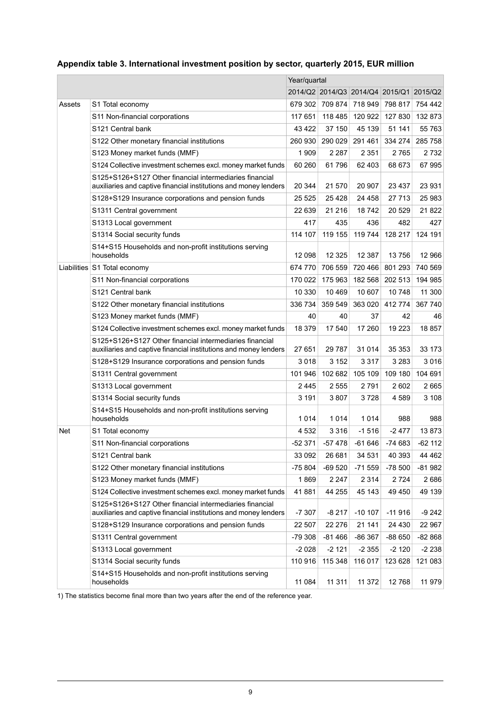|        |                                                                                                                             | Year/quartal |                 |                                 |          |           |
|--------|-----------------------------------------------------------------------------------------------------------------------------|--------------|-----------------|---------------------------------|----------|-----------|
|        |                                                                                                                             |              |                 | 2014/Q2 2014/Q3 2014/Q4 2015/Q1 |          | 2015/Q2   |
| Assets | S1 Total economy                                                                                                            |              | 679 302 709 874 | 718 949                         | 798 817  | 754 442   |
|        | S11 Non-financial corporations                                                                                              | 117 651      | 118 485         | 120 922                         | 127 830  | 132873    |
|        | S121 Central bank                                                                                                           | 43 422       | 37 150          | 45 139                          | 51 141   | 55 763    |
|        | S122 Other monetary financial institutions                                                                                  | 260 930      | 290 029         | 291 461                         | 334 274  | 285 758   |
|        | S123 Money market funds (MMF)                                                                                               | 1 909        | 2 2 8 7         | 2 3 5 1                         | 2 765    | 2 7 3 2   |
|        | S124 Collective investment schemes excl. money market funds                                                                 | 60 260       | 61796           | 62 403                          | 68 673   | 67995     |
|        | S125+S126+S127 Other financial intermediaries financial<br>auxiliaries and captive financial institutions and money lenders | 20 344       | 21 570          | 20 907                          | 23 4 37  | 23 931    |
|        | S128+S129 Insurance corporations and pension funds                                                                          | 25 5 25      | 25 4 28         | 24 458                          | 27 713   | 25 983    |
|        | S1311 Central government                                                                                                    | 22 639       | 21 216          | 18742                           | 20 5 29  | 21822     |
|        | S1313 Local government                                                                                                      | 417          | 435             | 436                             | 482      | 427       |
|        | S1314 Social security funds                                                                                                 | 114 107      | 119 155         | 119 744                         | 128 217  | 124 191   |
|        | S14+S15 Households and non-profit institutions serving                                                                      |              |                 |                                 |          |           |
|        | households                                                                                                                  | 12 098       | 12 3 25         | 12 387                          | 13 756   | 12 966    |
|        | Liabilities S1 Total economy                                                                                                | 674 770      | 706 559         | 720 466                         | 801 293  | 740 569   |
|        | S11 Non-financial corporations                                                                                              |              | 175 963         | 182 568                         | 202 513  | 194 985   |
|        | S121 Central bank                                                                                                           | 10 330       | 10 4 69         | 10 607                          | 10748    | 11 300    |
|        | S122 Other monetary financial institutions                                                                                  | 336 734      | 359 549         | 363 020                         | 412 774  | 367 740   |
|        | S123 Money market funds (MMF)                                                                                               | 40           | 40              | 37                              | 42       | 46        |
|        | S124 Collective investment schemes excl. money market funds                                                                 | 18 379       | 17 540          | 17 260                          | 19 223   | 18857     |
|        | S125+S126+S127 Other financial intermediaries financial<br>auxiliaries and captive financial institutions and money lenders | 27 651       | 29 787          | 31 014                          | 35 353   | 33 173    |
|        | S128+S129 Insurance corporations and pension funds                                                                          | 3018         | 3 1 5 2         | 3 3 1 7                         | 3 2 8 3  | 3016      |
|        | S1311 Central government                                                                                                    | 101 946      | 102 682         | 105 109                         | 109 180  | 104 691   |
|        | S1313 Local government                                                                                                      | 2445         | 2 5 5 5         | 2 7 9 1                         | 2602     | 2665      |
|        | S1314 Social security funds                                                                                                 | 3 1 9 1      | 3807            | 3728                            | 4589     | 3 1 0 8   |
|        | S14+S15 Households and non-profit institutions serving<br>households                                                        | 1014         | 1 0 1 4         | 1014                            | 988      | 988       |
|        |                                                                                                                             |              |                 |                                 |          | 13873     |
| Net    | S1 Total economy<br>S11 Non-financial corporations                                                                          | 4 5 3 2      | 3 3 1 6         | $-1516$                         | $-2477$  |           |
|        |                                                                                                                             | $-52371$     | $-57478$        | $-61646$                        | $-74683$ | $-62$ 112 |
|        | S121 Central bank<br>S122 Other monetary financial institutions                                                             | 33 092       | 26 681          | 34 531                          | 40 393   | 44 4 62   |
|        | S123 Money market funds (MMF)                                                                                               | -75 804      | -69 520         | -71 559                         | $-78500$ | -81 982   |
|        |                                                                                                                             | 1869         | 2 2 4 7         | 2 3 1 4                         | 2 7 2 4  | 2686      |
|        | S124 Collective investment schemes excl. money market funds                                                                 | 41881        | 44 255          | 45 143                          | 49 450   | 49 139    |
|        | S125+S126+S127 Other financial intermediaries financial<br>auxiliaries and captive financial institutions and money lenders | $-7307$      | $-8217$         | $-10$ 107                       | $-11916$ | $-9242$   |
|        | S128+S129 Insurance corporations and pension funds                                                                          | 22 507       | 22 276          | 21 141                          | 24 430   | 22 967    |
|        | S1311 Central government                                                                                                    | -79 308      | $-81466$        | -86 367                         | -88 650  | $-82868$  |
|        | S1313 Local government                                                                                                      | $-2028$      | $-2121$         | $-2355$                         | $-2120$  | $-2238$   |
|        | S1314 Social security funds                                                                                                 | 110 916      | 115 348         | 116 017                         | 123 628  | 121 083   |
|        | S14+S15 Households and non-profit institutions serving<br>households                                                        | 11 084       | 11 311          | 11 372                          | 12768    | 11 979    |

#### <span id="page-8-0"></span>**Appendix table 3. International investment position by sector, quarterly 2015, EUR million**

1) The statistics become final more than two years after the end of the reference year.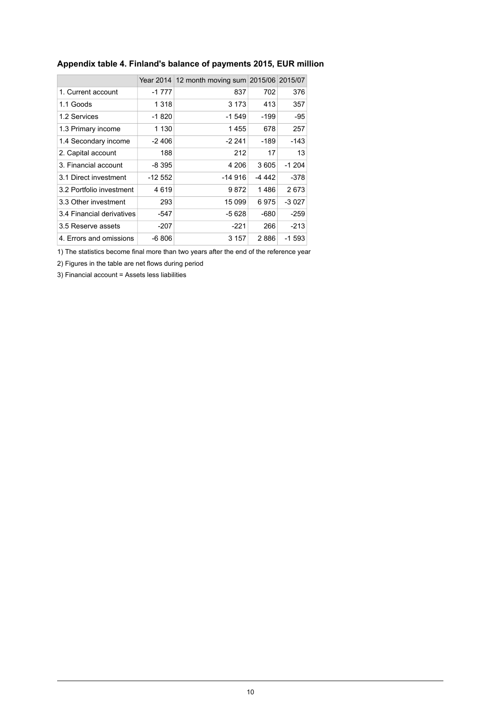|                           | Year 2014 | 12 month moving sum 2015/06 2015/07 |        |         |
|---------------------------|-----------|-------------------------------------|--------|---------|
| 1. Current account        | $-1777$   | 837                                 | 702    | 376     |
| 1.1 Goods                 | 1 318     | 3 1 7 3                             | 413    | 357     |
| 1.2 Services              | $-1820$   | -1 549                              | -199   | -95     |
| 1.3 Primary income        | 1 1 3 0   | 1 455                               | 678    | 257     |
| 1.4 Secondary income      | $-2406$   | -2 241                              | -189   | -143    |
| 2. Capital account        | 188       | 212                                 | 17     | 13      |
| 3. Financial account      | -8 395    | 4 206                               | 3605   | $-1204$ |
| 3.1 Direct investment     | -12 552   | -14 916                             | -4 442 | -378    |
| 3.2 Portfolio investment  | 4619      | 9 872                               | 1486   | 2673    |
| 3.3 Other investment      | 293       | 15 099                              | 6975   | $-3027$ |
| 3.4 Financial derivatives | -547      | -5 628                              | -680   | $-259$  |
| 3.5 Reserve assets        | -207      | -221                                | 266    | $-213$  |
| 4. Errors and omissions   | -6 806    | 3 157                               | 2886   | -1 593  |

#### <span id="page-9-0"></span>**Appendix table 4. Finland's balance of payments 2015, EUR million**

1) The statistics become final more than two years after the end of the reference year

2) Figures in the table are net flows during period

3) Financial account = Assets less liabilities